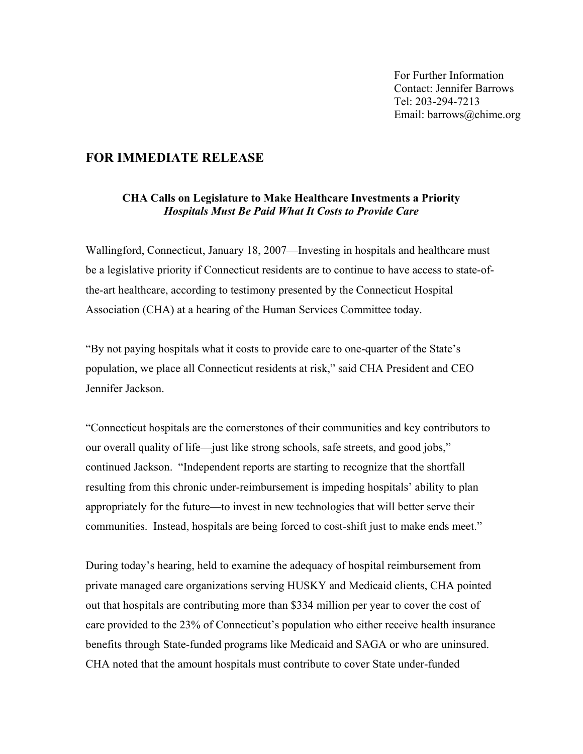For Further Information Contact: Jennifer Barrows Tel: 203-294-7213 Email: barrows@chime.org

## **FOR IMMEDIATE RELEASE**

## **CHA Calls on Legislature to Make Healthcare Investments a Priority**  *Hospitals Must Be Paid What It Costs to Provide Care*

Wallingford, Connecticut, January 18, 2007—Investing in hospitals and healthcare must be a legislative priority if Connecticut residents are to continue to have access to state-ofthe-art healthcare, according to testimony presented by the Connecticut Hospital Association (CHA) at a hearing of the Human Services Committee today.

"By not paying hospitals what it costs to provide care to one-quarter of the State's population, we place all Connecticut residents at risk," said CHA President and CEO Jennifer Jackson.

"Connecticut hospitals are the cornerstones of their communities and key contributors to our overall quality of life—just like strong schools, safe streets, and good jobs," continued Jackson. "Independent reports are starting to recognize that the shortfall resulting from this chronic under-reimbursement is impeding hospitals' ability to plan appropriately for the future—to invest in new technologies that will better serve their communities. Instead, hospitals are being forced to cost-shift just to make ends meet."

During today's hearing, held to examine the adequacy of hospital reimbursement from private managed care organizations serving HUSKY and Medicaid clients, CHA pointed out that hospitals are contributing more than \$334 million per year to cover the cost of care provided to the 23% of Connecticut's population who either receive health insurance benefits through State-funded programs like Medicaid and SAGA or who are uninsured. CHA noted that the amount hospitals must contribute to cover State under-funded